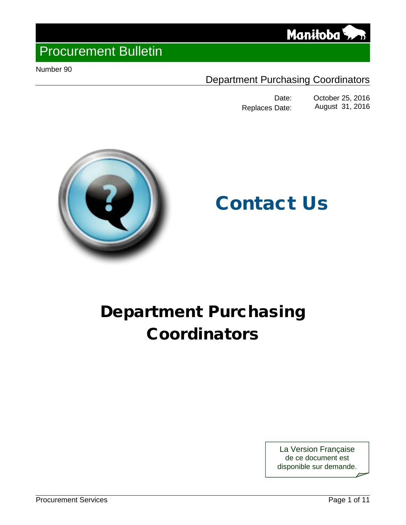

Number 90

### Department Purchasing Coordinators

Date: October 25, 2016<br>Date: August 31, 2016 Replaces Date:



# Contact Us

## Department Purchasing Coordinators

La Version Française de ce document est disponible sur demande.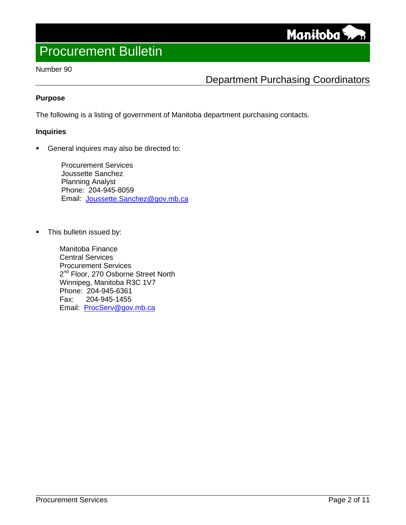Manitoba

#### Number 90

### Department Purchasing Coordinators

#### **Purpose**

The following is a listing of government of Manitoba department purchasing contacts.

#### **Inquiries**

General inquires may also be directed to:

Procurement Services Joussette Sanchez Planning Analyst Phone: 204-945-8059 Email: [Joussette.Sanchez@gov.mb.ca](mailto:Joussette.Sanchez@gov.mb.ca)

• This bulletin issued by:

Manitoba Finance Central Services Procurement Services 2<sup>nd</sup> Floor, 270 Osborne Street North Winnipeg, Manitoba R3C 1V7 Phone: 204-945-6361 Fax: 204-945-1455 Email: [ProcServ@gov.mb.ca](mailto:ProcServ@gov.mb.ca)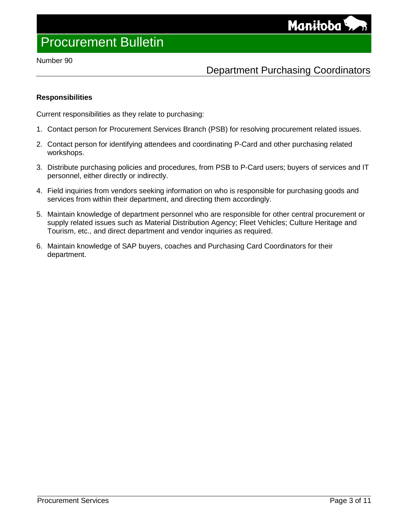#### Number 90

### Department Purchasing Coordinators

#### **Responsibilities**

Current responsibilities as they relate to purchasing:

- 1. Contact person for Procurement Services Branch (PSB) for resolving procurement related issues.
- 2. Contact person for identifying attendees and coordinating P-Card and other purchasing related workshops.
- 3. Distribute purchasing policies and procedures, from PSB to P-Card users; buyers of services and IT personnel, either directly or indirectly.
- 4. Field inquiries from vendors seeking information on who is responsible for purchasing goods and services from within their department, and directing them accordingly.
- 5. Maintain knowledge of department personnel who are responsible for other central procurement or supply related issues such as Material Distribution Agency; Fleet Vehicles; Culture Heritage and Tourism, etc., and direct department and vendor inquiries as required.
- 6. Maintain knowledge of SAP buyers, coaches and Purchasing Card Coordinators for their department.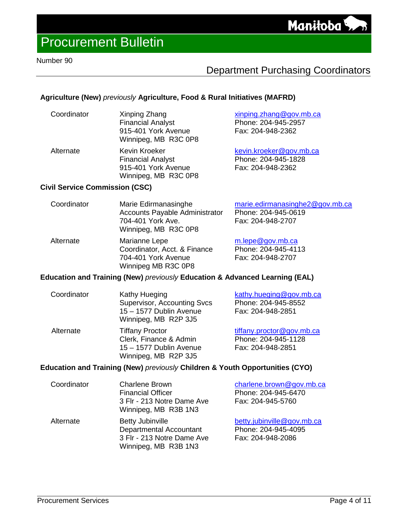### Department Purchasing Coordinators

#### **Agriculture (New)** *previously* **Agriculture, Food & Rural Initiatives (MAFRD)**

Winnipeg, MB R3C 0P8

| Coordinator | Xinping Zhang<br><b>Financial Analyst</b><br>915-401 York Avenue<br>Winnipeg, MB R3C 0P8 | xinping.zhang@gov.mb.ca<br>Phone: 204-945-2957<br>Fax: 204-948-2362 |
|-------------|------------------------------------------------------------------------------------------|---------------------------------------------------------------------|
| Alternate   | Kevin Kroeker<br><b>Financial Analyst</b><br>915-401 York Avenue                         | kevin.kroeker@gov.mb.ca<br>Phone: 204-945-1828<br>Fax: 204-948-2362 |

#### **Civil Service Commission (CSC)**

| Coordinator | Marie Edirmanasinghe<br><b>Accounts Payable Administrator</b><br>704-401 York Ave.<br>Winnipeg, MB R3C 0P8 | marie.edirmanasinghe2@gov.mb.ca<br>Phone: 204-945-0619<br>Fax: 204-948-2707 |
|-------------|------------------------------------------------------------------------------------------------------------|-----------------------------------------------------------------------------|
| Alternate   | Marianne Lepe<br>Coordinator Acct & Finance                                                                | m.lepe@gov.mb.ca<br>$Phona: 204-045-4113$                                   |

| Alternate | Marianne Lepe                | m.lepe@gov.mb.ca    |
|-----------|------------------------------|---------------------|
|           | Coordinator, Acct. & Finance | Phone: 204-945-4113 |
|           | 704-401 York Avenue          | Fax: 204-948-2707   |
|           | Winnipeg MB R3C 0P8          |                     |

#### **Education and Training (New)** *previously* **Education & Advanced Learning (EAL)**

| Coordinator | Kathy Hueging<br><b>Supervisor, Accounting Svcs</b><br>15 - 1577 Dublin Avenue<br>Winnipeg, MB R2P 3J5 | kathy.hueging@gov.mb.ca<br>Phone: 204-945-8552<br>Fax: 204-948-2851   |
|-------------|--------------------------------------------------------------------------------------------------------|-----------------------------------------------------------------------|
| Alternate   | <b>Tiffany Proctor</b><br>Clerk, Finance & Admin<br>15 - 1577 Dublin Avenue<br>Winnipeg, MB R2P 3J5    | tiffany.proctor@gov.mb.ca<br>Phone: 204-945-1128<br>Fax: 204-948-2851 |

#### **Education and Training (New)** *previously* **Children & Youth Opportunities (CYO)**

| Coordinator | <b>Charlene Brown</b><br><b>Financial Officer</b><br>3 Flr - 213 Notre Dame Ave<br>Winnipeg, MB R3B 1N3         | charlene.brown@gov.mb.ca<br>Phone: 204-945-6470<br>Fax: 204-945-5760   |
|-------------|-----------------------------------------------------------------------------------------------------------------|------------------------------------------------------------------------|
| Alternate   | <b>Betty Jubinville</b><br><b>Departmental Accountant</b><br>3 Flr - 213 Notre Dame Ave<br>Winnipeg, MB R3B 1N3 | betty.jubinville@gov.mb.ca<br>Phone: 204-945-4095<br>Fax: 204-948-2086 |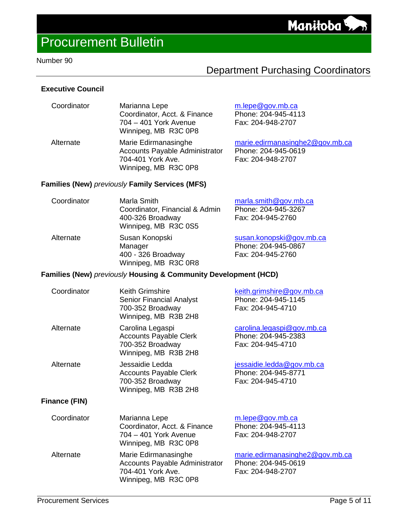### Department Purchasing Coordinators

#### **Executive Council**

| Coordinator | Marianna Lepe<br>Coordinator, Acct. & Finance<br>704 - 401 York Avenue<br>Winnipeg, MB R3C 0P8             | $m$ .lepe@gov.mb.ca<br>Phone: 204-945-4113<br>Fax: 204-948-2707             |
|-------------|------------------------------------------------------------------------------------------------------------|-----------------------------------------------------------------------------|
| Alternate   | Marie Edirmanasinghe<br><b>Accounts Payable Administrator</b><br>704-401 York Ave.<br>Winnipeg, MB R3C 0P8 | marie.edirmanasinghe2@gov.mb.ca<br>Phone: 204-945-0619<br>Fax: 204-948-2707 |

#### **Families (New)** *previously* **Family Services (MFS)**

| Coordinator | Marla Smith<br>Coordinator, Financial & Admin<br>400-326 Broadway<br>Winnipeg, MB R3C 0S5 | marla.smith@gov.mb.ca<br>Phone: 204-945-3267<br>Fax: 204-945-2760    |
|-------------|-------------------------------------------------------------------------------------------|----------------------------------------------------------------------|
| Alternate   | Susan Konopski<br>Manager<br>400 - 326 Broadway<br>Winnipeg, MB R3C 0R8                   | susan.konopski@gov.mb.ca<br>Phone: 204-945-0867<br>Fax: 204-945-2760 |

#### **Families (New)** *previously* **Housing & Community Development (HCD)**

| Coordinator   | <b>Keith Grimshire</b><br><b>Senior Financial Analyst</b><br>700-352 Broadway<br>Winnipeg, MB R3B 2H8 | keith.grimshire@gov.mb.ca<br>Phone: 204-945-1145<br>Fax: 204-945-4710       |
|---------------|-------------------------------------------------------------------------------------------------------|-----------------------------------------------------------------------------|
| Alternate     | Carolina Legaspi<br><b>Accounts Payable Clerk</b><br>700-352 Broadway<br>Winnipeg, MB R3B 2H8         | carolina.legaspi@gov.mb.ca<br>Phone: 204-945-2383<br>Fax: 204-945-4710      |
| Alternate     | Jessaidie Ledda<br><b>Accounts Payable Clerk</b><br>700-352 Broadway<br>Winnipeg, MB R3B 2H8          | jessaidie.ledda@gov.mb.ca<br>Phone: 204-945-8771<br>Fax: 204-945-4710       |
| Finance (FIN) |                                                                                                       |                                                                             |
| Coordinator   | Marianna Lepe<br>Coordinator, Acct. & Finance<br>704 – 401 York Avenue<br>Winnipeg, MB R3C 0P8        | m.lepe@gov.mb.ca<br>Phone: 204-945-4113<br>Fax: 204-948-2707                |
| Alternate     | Marie Edirmanasinghe<br>Accounts Payable Administrator<br>704-401 York Ave.<br>Winnipeg, MB R3C 0P8   | marie.edirmanasinghe2@gov.mb.ca<br>Phone: 204-945-0619<br>Fax: 204-948-2707 |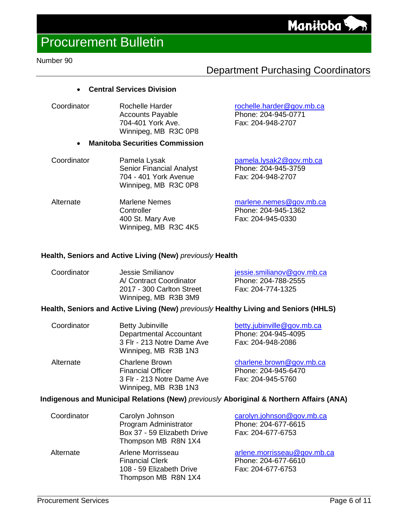### Department Purchasing Coordinators

[rochelle.harder@gov.mb.ca](mailto:rochelle.harder@gov.mb.ca) Phone: 204-945-0771 Fax: 204-948-2707

#### • **Central Services Division**

Coordinator Rochelle Harder Accounts Payable 704-401 York Ave. Winnipeg, MB R3C 0P8

#### • **Manitoba Securities Commission**

- Coordinator Pamela Lysak Senior Financial Analyst 704 - 401 York Avenue Winnipeg, MB R3C 0P8 [pamela.lysak2@gov.mb.ca](mailto:marissa.zurba@gov.mb.ca) Phone: 204-945-3759 Fax: 204-948-2707
- Alternate Marlene Nemes **Controller** 400 St. Mary Ave Winnipeg, MB R3C 4K5 [marlene.nemes@gov.mb.ca](mailto:marlene.nemes@gov.mb.ca) Phone: 204-945-1362 Fax: 204-945-0330

#### **Health, Seniors and Active Living (New)** *previously* **Health**

| Coordinator | Jessie Smilianov          | jessie.smilianov@gov.mb.ca |
|-------------|---------------------------|----------------------------|
|             | A/ Contract Coordinator   | Phone: 204-788-2555        |
|             | 2017 - 300 Carlton Street | Fax: 204-774-1325          |
|             | Winnipeg, MB R3B 3M9      |                            |

#### **Health, Seniors and Active Living (New)** *previously* **Healthy Living and Seniors (HHLS)**

| Coordinator | <b>Betty Jubinville</b><br><b>Departmental Accountant</b><br>3 Flr - 213 Notre Dame Ave<br>Winnipeg, MB R3B 1N3 | betty.jubinville@gov.mb.ca<br>Phone: 204-945-4095<br>Fax: 204-948-2086 |
|-------------|-----------------------------------------------------------------------------------------------------------------|------------------------------------------------------------------------|
| Alternate   | <b>Charlene Brown</b><br><b>Financial Officer</b><br>3 Flr - 213 Notre Dame Ave<br>Winnipeg, MB R3B 1N3         | charlene.brown@gov.mb.ca<br>Phone: 204-945-6470<br>Fax: 204-945-5760   |

#### **Indigenous and Municipal Relations (New)** *previously* **Aboriginal & Northern Affairs (ANA)**

| Coordinator | Carolyn Johnson<br>Program Administrator<br>Box 37 - 59 Elizabeth Drive<br>Thompson MB R8N 1X4 | carolyn.johnson@gov.mb.ca<br>Phone: 204-677-6615<br>Fax: 204-677-6753   |
|-------------|------------------------------------------------------------------------------------------------|-------------------------------------------------------------------------|
| Alternate   | Arlene Morrisseau<br><b>Financial Clerk</b><br>108 - 59 Elizabeth Drive<br>Thompson MB R8N 1X4 | arlene.morrisseau@gov.mb.ca<br>Phone: 204-677-6610<br>Fax: 204-677-6753 |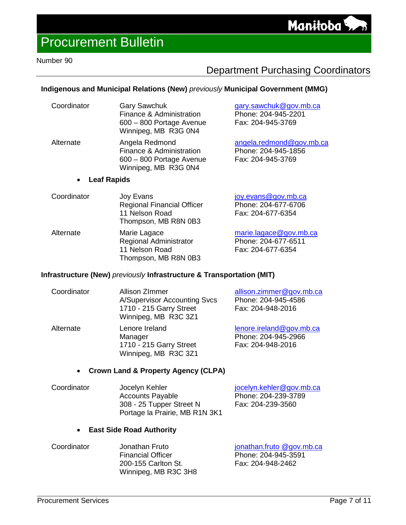### Department Purchasing Coordinators

### **Indigenous and Municipal Relations (New)** *previously* **Municipal Government (MMG)**

| Coordinator | <b>Gary Sawchuk</b><br>Finance & Administration<br>600 - 800 Portage Avenue<br>Winnipeg, MB R3G 0N4 | gary.sawchuk@gov.mb.ca<br>Phone: 204-945-2201<br>Fax: 204-945-3769   |
|-------------|-----------------------------------------------------------------------------------------------------|----------------------------------------------------------------------|
| Alternate   | Angela Redmond<br>Finance & Administration<br>600 - 800 Portage Avenue<br>Winnipeg, MB R3G 0N4      | angela.redmond@gov.mb.ca<br>Phone: 204-945-1856<br>Fax: 204-945-3769 |

#### • **Leaf Rapids**

| Coordinator | Joy Evans<br><b>Regional Financial Officer</b><br>11 Nelson Road<br>Thompson, MB R8N 0B3 | joy.evans@gov.mb.ca<br>Phone: 204-677-6706<br>Fax: 204-677-6354    |
|-------------|------------------------------------------------------------------------------------------|--------------------------------------------------------------------|
| Alternate   | Marie Lagace<br><b>Regional Administrator</b><br>11 Nelson Road                          | marie.lagace@gov.mb.ca<br>Phone: 204-677-6511<br>Fax: 204-677-6354 |

#### **Infrastructure (New)** *previously* **Infrastructure & Transportation (MIT)**

Thompson, MB R8N 0B3

| Coordinator | <b>Allison ZImmer</b><br><b>A/Supervisor Accounting Svcs</b><br>1710 - 215 Garry Street<br>Winnipeg, MB R3C 3Z1 | allison.zimmer@gov.mb.ca<br>Phone: 204-945-4586<br>Fax: 204-948-2016 |
|-------------|-----------------------------------------------------------------------------------------------------------------|----------------------------------------------------------------------|
| Alternate   | Lenore Ireland<br>Manager<br>1710 - 215 Garry Street<br>Winnipeg, MB R3C 3Z1                                    | lenore.ireland@gov.mb.ca<br>Phone: 204-945-2966<br>Fax: 204-948-2016 |

#### • **Crown Land & Property Agency (CLPA)**

| Coordinator | Jocelyn Kehler                 | jocelyn.kehler@gov.mb.ca |
|-------------|--------------------------------|--------------------------|
|             | <b>Accounts Payable</b>        | Phone: 204-239-3789      |
|             | 308 - 25 Tupper Street N       | Fax: 204-239-3560        |
|             | Portage la Prairie, MB R1N 3K1 |                          |

#### • **East Side Road Authority**

| Coordinator | Jonathan Fruto           | jonathan.fruto @gov.mb.ca |
|-------------|--------------------------|---------------------------|
|             | <b>Financial Officer</b> | Phone: 204-945-3591       |
|             | 200-155 Carlton St.      | Fax: 204-948-2462         |
|             | Winnipeg, MB R3C 3H8     |                           |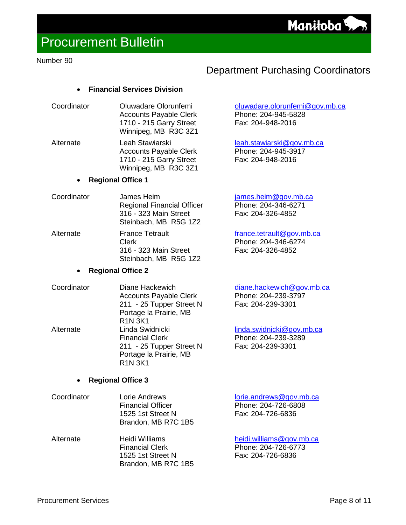#### Number 90

### Department Purchasing Coordinators

Phone: 204-945-5828 Fax: 204-948-2016

Fax: 204-326-4852

[leah.stawiarski@gov.mb.ca](mailto:leah.stawiarski@gov.mb.ca) Phone: 204-945-3917 Fax: 204-948-2016

[oluwadare.olorunfemi@gov.mb.ca](mailto:oluwadare.olorunfemi@gov.mb.ca)

#### • **Financial Services Division**

- Coordinator Oluwadare Olorunfemi Accounts Payable Clerk 1710 - 215 Garry Street Winnipeg, MB R3C 3Z1
- Alternate Leah Stawiarski Accounts Payable Clerk 1710 - 215 Garry Street Winnipeg, MB R3C 3Z1

#### • **Regional Office 1**

- Coordinator James Heim Regional Financial Officer 316 - 323 Main Street Steinbach, MB R5G 1Z2 [james.heim@gov.mb.ca](mailto:james.heim@gov.mb.ca) Phone: 204-346-6271 Fax: 204-326-4852 Alternate **France Tetrault** Clerk [france.tetrault@gov.mb.ca](mailto:france.tetrault@gov.mb.ca) Phone: 204-346-6274
	- 316 323 Main Street Steinbach, MB R5G 1Z2

#### • **Regional Office 2**

Coordinator Diane Hackewich Accounts Payable Clerk 211 - 25 Tupper Street N Portage la Prairie, MB R1N 3K1 [diane.hackewich@gov.mb.ca](mailto:diane.hackewich@gov.mb.ca) Phone: 204-239-3797 Fax: 204-239-3301 Alternate Linda Swidnicki Financial Clerk 211 - 25 Tupper Street N Portage la Prairie, MB R1N 3K1 [linda.swidnicki@gov.mb.ca](mailto:linda.swidnicki@gov.mb.ca) Phone: 204-239-3289 Fax: 204-239-3301

#### • **Regional Office 3**

- Coordinator Lorie Andrews Financial Officer 1525 1st Street N Brandon, MB R7C 1B5 [lorie.andrews@gov.mb.ca](mailto:lorie.andrews@gov.mb.ca) Phone: 204-726-6808 Fax: 204-726-6836
- Alternate Heidi Williams Financial Clerk 1525 1st Street N Brandon, MB R7C 1B5 [heidi.williams@gov.mb.ca](mailto:donna.preston@gov.mb.ca) Phone: 204-726-6773 Fax: 204-726-6836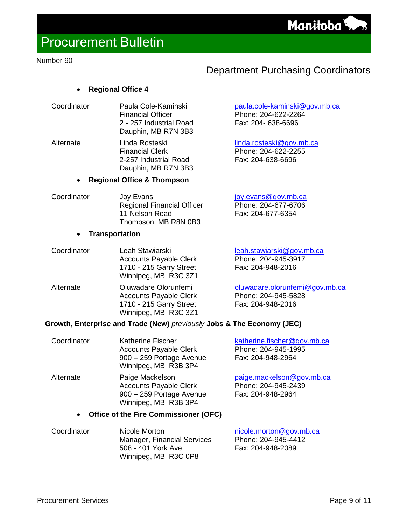#### Number 90

### Department Purchasing Coordinators

[paula.cole-kaminski@gov.mb.ca](mailto:paula.cole-kaminski@gov.mb.ca)

Phone: 204-622-2264 Fax: 204- 638-6696

[linda.rosteski@gov.mb.ca](mailto:linda.rosteski@gov.mb.ca) Phone: 204-622-2255 Fax: 204-638-6696

#### • **Regional Office 4**

| Coordinator | Paula Cole-Kaminski      |
|-------------|--------------------------|
|             | <b>Financial Officer</b> |
|             | 2 - 257 Industrial Road  |
|             | Dauphin, MB R7N 3B3      |

Alternate Linda Rosteski Financial Clerk 2-257 Industrial Road Dauphin, MB R7N 3B3

#### • **Regional Office & Thompson**

| Coordinator | Joy Evans                         | joy.evans@gov.mb.ca |
|-------------|-----------------------------------|---------------------|
|             | <b>Regional Financial Officer</b> | Phone: 204-677-6706 |
|             | 11 Nelson Road                    | Fax: 204-677-6354   |
|             | Thompson, MB R8N 0B3              |                     |
|             |                                   |                     |

#### • **Transportation**

| Coordinator | Leah Stawiarski<br><b>Accounts Payable Clerk</b><br>1710 - 215 Garry Street<br>Winnipeg, MB R3C 3Z1 | leah.stawiarski@gov.mb.ca<br>Phone: 204-945-3917<br>Fax: 204-948-2016      |
|-------------|-----------------------------------------------------------------------------------------------------|----------------------------------------------------------------------------|
| Alternate   | Oluwadare Olorunfemi<br><b>Accounts Payable Clerk</b><br>1710 - 215 Garry Street                    | oluwadare.olorunfemi@gov.mb.ca<br>Phone: 204-945-5828<br>Fax: 204-948-2016 |

#### **Growth, Enterprise and Trade (New)** *previously* **Jobs & The Economy (JEC)**

Winnipeg, MB R3C 3Z1

| Coordinator | <b>Katherine Fischer</b><br><b>Accounts Payable Clerk</b><br>900 - 259 Portage Avenue<br>Winnipeg, MB R3B 3P4 | katherine.fischer@gov.mb.ca<br>Phone: 204-945-1995<br>Fax: 204-948-2964 |
|-------------|---------------------------------------------------------------------------------------------------------------|-------------------------------------------------------------------------|
| Alternate   | Paige Mackelson<br><b>Accounts Payable Clerk</b><br>900 - 259 Portage Avenue<br>Winnipeg, MB R3B 3P4          | paige.mackelson@gov.mb.ca<br>Phone: 204-945-2439<br>Fax: 204-948-2964   |

#### • **Office of the Fire Commissioner (OFC)**

| Coordinator | Nicole Morton               | nicole.morton@gov.mb.ca |
|-------------|-----------------------------|-------------------------|
|             | Manager, Financial Services | Phone: 204-945-4412     |
|             | 508 - 401 York Ave          | Fax: 204-948-2089       |
|             | Winnipeg, MB R3C 0P8        |                         |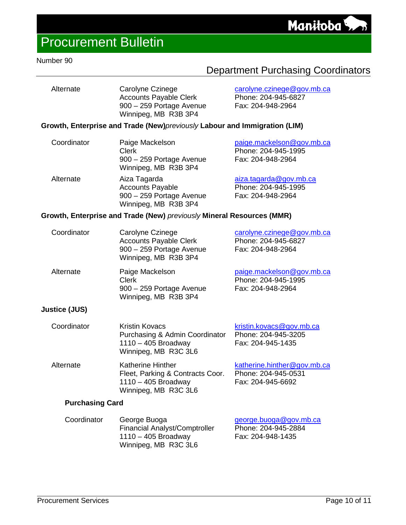#### Number 90

### Department Purchasing Coordinators

| Alternate | Carolyne Czinege                                                                  | carolyne.czinege@gov.mb.ca               |
|-----------|-----------------------------------------------------------------------------------|------------------------------------------|
|           | <b>Accounts Payable Clerk</b><br>900 - 259 Portage Avenue<br>Winnipeg, MB R3B 3P4 | Phone: 204-945-6827<br>Fax: 204-948-2964 |

#### **Growth, Enterprise and Trade (New)***previously* **Labour and Immigration (LIM)**

| Coordinator | Paige Mackelson<br>Clerk<br>900 - 259 Portage Avenue<br>Winnipeg, MB R3B 3P4                | paige.mackelson@gov.mb.ca<br>Phone: 204-945-1995<br>Fax: 204-948-2964 |
|-------------|---------------------------------------------------------------------------------------------|-----------------------------------------------------------------------|
| Alternate   | Aiza Tagarda<br><b>Accounts Payable</b><br>900 - 259 Portage Avenue<br>Winnipeg, MB R3B 3P4 | aiza.tagarda@gov.mb.ca<br>Phone: 204-945-1995<br>Fax: 204-948-2964    |

#### **Growth, Enterprise and Trade (New)** *previously* **Mineral Resources (MMR)**

| Coordinator | Carolyne Czinege<br><b>Accounts Payable Clerk</b><br>900 - 259 Portage Avenue<br>Winnipeg, MB R3B 3P4 | carolyne.czinege@gov.mb.ca<br>Phone: 204-945-6827<br>Fax: 204-948-2964 |
|-------------|-------------------------------------------------------------------------------------------------------|------------------------------------------------------------------------|
| Alternate   | Paige Mackelson<br>Clerk<br>900 - 259 Portage Avenue<br>Winnipeg, MB R3B 3P4                          | paige.mackelson@gov.mb.ca<br>Phone: 204-945-1995<br>Fax: 204-948-2964  |

#### **Justice (JUS)**

| Coordinator | Kristin Kovacs<br>Purchasing & Admin Coordinator<br>$1110 - 405$ Broadway | kristin.kovacs@gov.mb.ca<br>Phone: 204-945-3205<br>Fax: 204-945-1435 |
|-------------|---------------------------------------------------------------------------|----------------------------------------------------------------------|
|             | Winnipeg, MB R3C 3L6                                                      |                                                                      |
| Altornato   | Kothoring Hinthor                                                         | $kathoring$ hinthor $\bigcap$ any $m$                                |

Alternate Katherine Hinther Fleet, Parking & Contracts Coor. 1110 – 405 Broadway Winnipeg, MB R3C 3L6 [katherine.hinther@gov.mb.ca](mailto:katherine.hinther@gov.mb.ca) Phone: 204-945-0531 Fax: 204-945-6692

#### **Purchasing Card**

| George Buoga                                  | george.buoga@gov.mb.ca |
|-----------------------------------------------|------------------------|
| <b>Financial Analyst/Comptroller</b>          | Phone: 204-945-2884    |
| $1110 - 405$ Broadway<br>Winnipeg, MB R3C 3L6 | Fax: 204-948-1435      |
|                                               |                        |